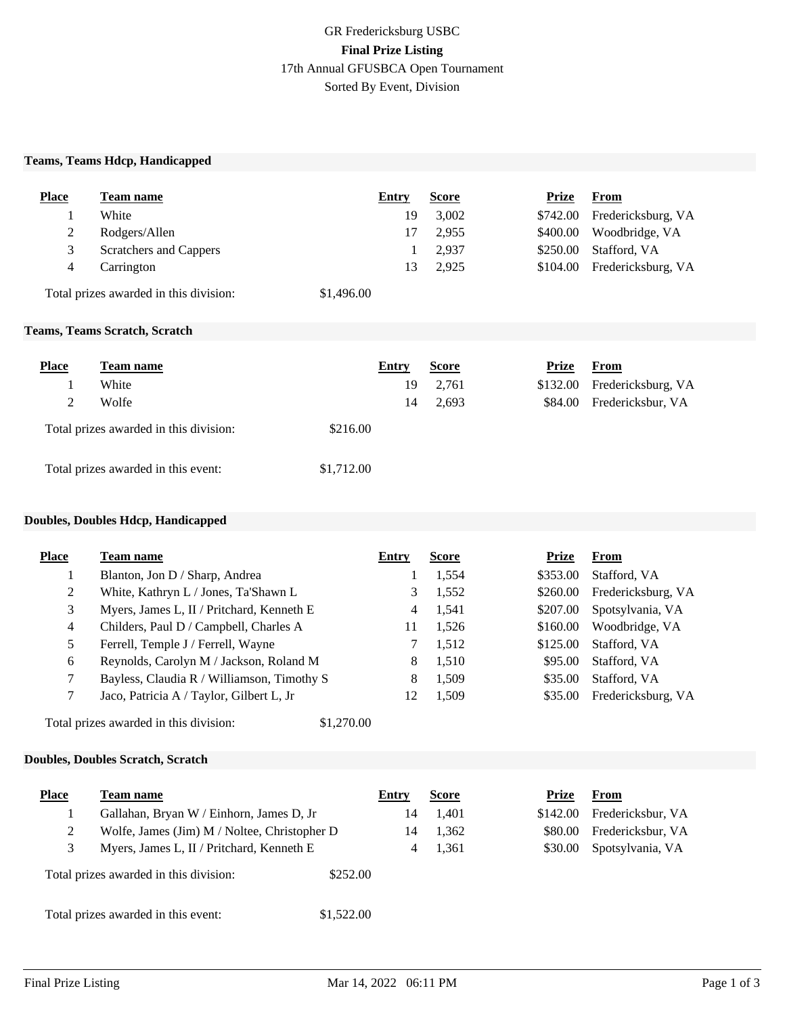## **Teams, Teams Hdcp, Handicapped**

| <b>Place</b> | Team name                              | Entry      | <b>Score</b> | Prize    | <b>From</b>                 |
|--------------|----------------------------------------|------------|--------------|----------|-----------------------------|
|              | White                                  | 19         | 3,002        |          | \$742.00 Fredericksburg, VA |
| 2            | Rodgers/Allen                          |            | 2.955        | \$400.00 | Woodbridge, VA              |
| 3            | Scratchers and Cappers                 |            | 2.937        | \$250.00 | Stafford, VA                |
| 4            | Carrington                             | 13         | 2.925        |          | \$104.00 Fredericksburg, VA |
|              | Total prizes awarded in this division: | \$1,496.00 |              |          |                             |

#### **Teams, Teams Scratch, Scratch**

| <b>Place</b> | Team name                              | Entry      | <b>Score</b> | Prize    | From               |
|--------------|----------------------------------------|------------|--------------|----------|--------------------|
|              | White                                  | 19         | 2,761        | \$132.00 | Fredericksburg, VA |
| 2            | Wolfe                                  | 14         | 2,693        | \$84.00  | Fredericksbur, VA  |
|              | Total prizes awarded in this division: | \$216.00   |              |          |                    |
|              | Total prizes awarded in this event:    | \$1,712.00 |              |          |                    |

#### **Doubles, Doubles Hdcp, Handicapped**

| <b>Place</b>   | Team name                                            | Entry | <b>Score</b> | Prize    | From               |
|----------------|------------------------------------------------------|-------|--------------|----------|--------------------|
|                | Blanton, Jon D / Sharp, Andrea                       |       | 1,554        | \$353.00 | Stafford, VA       |
| 2              | White, Kathryn L / Jones, Ta'Shawn L                 | 3     | 1,552        | \$260.00 | Fredericksburg, VA |
| 3              | Myers, James L, II / Pritchard, Kenneth E            | 4     | 1,541        | \$207.00 | Spotsylvania, VA   |
| $\overline{4}$ | Childers, Paul D / Campbell, Charles A               | 11    | 1,526        | \$160.00 | Woodbridge, VA     |
| 5              | Ferrell, Temple J / Ferrell, Wayne                   |       | 1,512        | \$125.00 | Stafford, VA       |
| 6              | Reynolds, Carolyn M / Jackson, Roland M              | 8     | 1,510        | \$95.00  | Stafford, VA       |
| 7              | Bayless, Claudia R / Williamson, Timothy S           | 8     | 1,509        | \$35.00  | Stafford, VA       |
| 7              | Jaco, Patricia A / Taylor, Gilbert L, Jr             | 12    | 1,509        | \$35.00  | Fredericksburg, VA |
|                | \$1,270.00<br>Total prizes awarded in this division: |       |              |          |                    |

## **Doubles, Doubles Scratch, Scratch**

| <b>Place</b> | Team name                                          | Entry | <b>Score</b> | Prize    | From              |
|--------------|----------------------------------------------------|-------|--------------|----------|-------------------|
|              | Gallahan, Bryan W / Einhorn, James D, Jr           | 14    | 1,401        | \$142.00 | Fredericksbur, VA |
|              | Wolfe, James (Jim) M / Noltee, Christopher D       | 14    | 1,362        | \$80.00  | Fredericksbur, VA |
|              | Myers, James L, II / Pritchard, Kenneth E          |       | 1,361        | \$30.00  | Spotsylvania, VA  |
|              | Total prizes awarded in this division:<br>\$252.00 |       |              |          |                   |
|              | Total prizes awarded in this event:<br>\$1,522.00  |       |              |          |                   |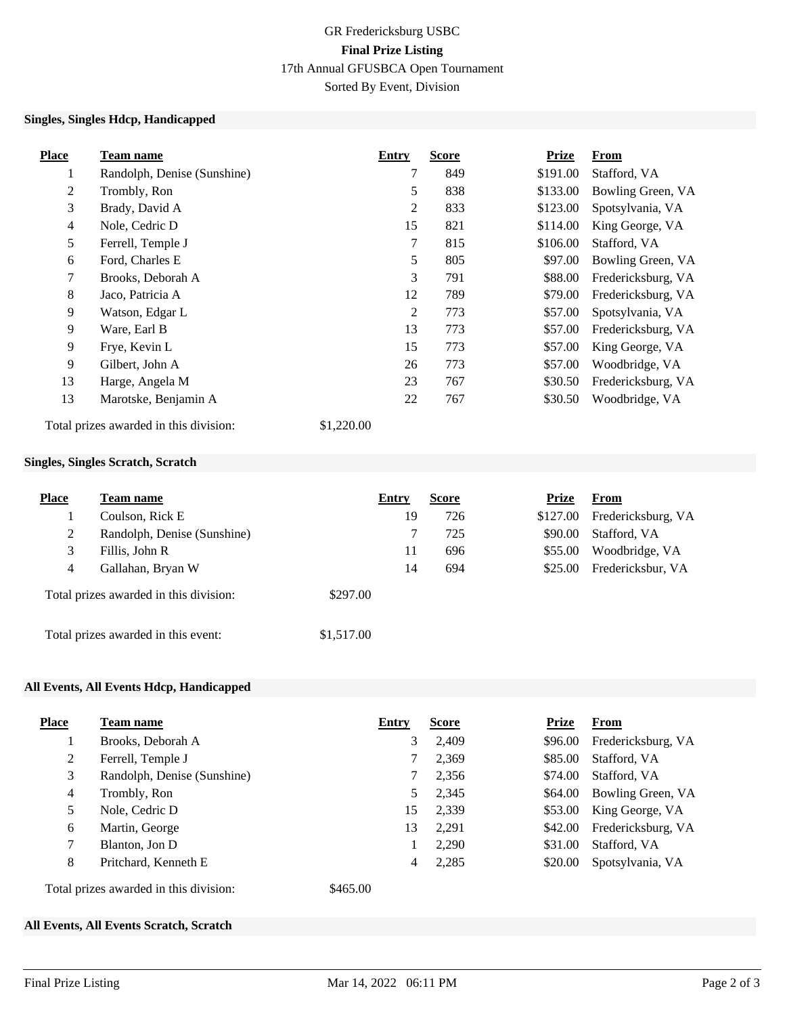## GR Fredericksburg USBC **Final Prize Listing** 17th Annual GFUSBCA Open Tournament Sorted By Event, Division

## **Singles, Singles Hdcp, Handicapped**

| <b>Place</b>   | <b>Team name</b>                       | Entry          | <b>Score</b> | <b>Prize</b> | From               |
|----------------|----------------------------------------|----------------|--------------|--------------|--------------------|
| $\mathbf{I}$   | Randolph, Denise (Sunshine)            | 7              | 849          | \$191.00     | Stafford, VA       |
| 2              | Trombly, Ron                           | 5              | 838          | \$133.00     | Bowling Green, VA  |
| 3              | Brady, David A                         | 2              | 833          | \$123.00     | Spotsylvania, VA   |
| $\overline{4}$ | Nole, Cedric D                         | 15             | 821          | \$114.00     | King George, VA    |
| 5              | Ferrell, Temple J                      | 7              | 815          | \$106.00     | Stafford, VA       |
| 6              | Ford, Charles E                        | 5              | 805          | \$97.00      | Bowling Green, VA  |
| 7              | Brooks, Deborah A                      | 3              | 791          | \$88.00      | Fredericksburg, VA |
| 8              | Jaco, Patricia A                       | 12             | 789          | \$79.00      | Fredericksburg, VA |
| 9              | Watson, Edgar L                        | $\overline{2}$ | 773          | \$57.00      | Spotsylvania, VA   |
| 9              | Ware, Earl B                           | 13             | 773          | \$57.00      | Fredericksburg, VA |
| 9              | Frye, Kevin L                          | 15             | 773          | \$57.00      | King George, VA    |
| 9              | Gilbert, John A                        | 26             | 773          | \$57.00      | Woodbridge, VA     |
| 13             | Harge, Angela M                        | 23             | 767          | \$30.50      | Fredericksburg, VA |
| 13             | Marotske, Benjamin A                   | 22             | 767          | \$30.50      | Woodbridge, VA     |
|                | Total prizes awarded in this division: | \$1,220.00     |              |              |                    |

## **Singles, Singles Scratch, Scratch**

| <b>Place</b> | Team name                              | Entry      |    | <b>Score</b> | <b>Prize</b> | From               |
|--------------|----------------------------------------|------------|----|--------------|--------------|--------------------|
|              | Coulson, Rick E                        |            | 19 | 726          | \$127.00     | Fredericksburg, VA |
| 2            | Randolph, Denise (Sunshine)            |            |    | 725          | \$90.00      | Stafford, VA       |
| 3            | Fillis, John R                         |            | 11 | 696          | \$55.00      | Woodbridge, VA     |
| 4            | Gallahan, Bryan W                      |            | 14 | 694          | \$25.00      | Fredericksbur, VA  |
|              | Total prizes awarded in this division: | \$297.00   |    |              |              |                    |
|              | Total prizes awarded in this event:    | \$1,517.00 |    |              |              |                    |

## **All Events, All Events Hdcp, Handicapped**

| <b>Place</b> | Team name                                          | Entry | <b>Score</b> | <b>Prize</b> | <b>From</b>        |
|--------------|----------------------------------------------------|-------|--------------|--------------|--------------------|
|              | Brooks, Deborah A                                  | 3     | 2.409        | \$96.00      | Fredericksburg, VA |
| 2            | Ferrell, Temple J                                  | 7     | 2,369        | \$85.00      | Stafford, VA       |
| 3            | Randolph, Denise (Sunshine)                        |       | 2,356        | \$74.00      | Stafford, VA       |
| 4            | Trombly, Ron                                       | 5     | 2,345        | \$64.00      | Bowling Green, VA  |
| 5            | Nole, Cedric D                                     | 15    | 2,339        | \$53.00      | King George, VA    |
| 6            | Martin, George                                     | 13    | 2,291        | \$42.00      | Fredericksburg, VA |
| 7            | Blanton, Jon D                                     | 1     | 2,290        | \$31.00      | Stafford, VA       |
| 8            | Pritchard, Kenneth E                               | 4     | 2,285        | \$20.00      | Spotsylvania, VA   |
|              | \$465.00<br>Total prizes awarded in this division: |       |              |              |                    |

## **All Events, All Events Scratch, Scratch**